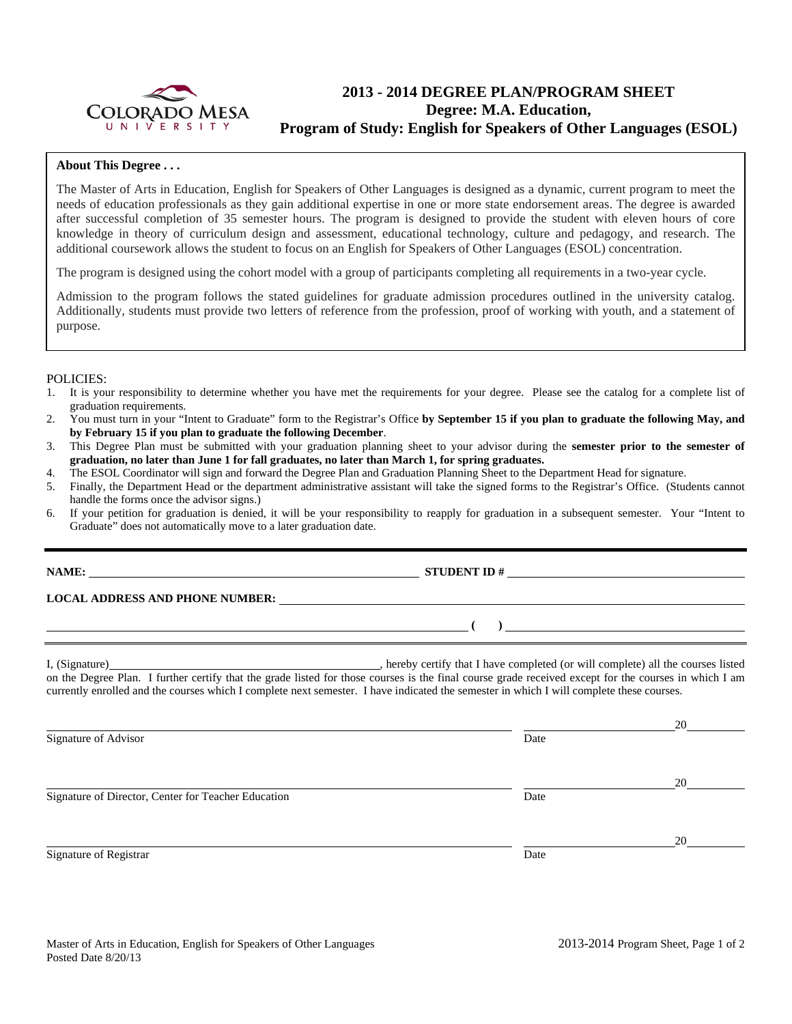

# **2013 - 2014 DEGREE PLAN/PROGRAM SHEET Degree: M.A. Education, Program of Study: English for Speakers of Other Languages (ESOL)**

## **About This Degree . . .**

The Master of Arts in Education, English for Speakers of Other Languages is designed as a dynamic, current program to meet the needs of education professionals as they gain additional expertise in one or more state endorsement areas. The degree is awarded after successful completion of 35 semester hours. The program is designed to provide the student with eleven hours of core knowledge in theory of curriculum design and assessment, educational technology, culture and pedagogy, and research. The additional coursework allows the student to focus on an English for Speakers of Other Languages (ESOL) concentration.

The program is designed using the cohort model with a group of participants completing all requirements in a two-year cycle.

Admission to the program follows the stated guidelines for graduate admission procedures outlined in the university catalog. Additionally, students must provide two letters of reference from the profession, proof of working with youth, and a statement of purpose.

### POLICIES:

- 1. It is your responsibility to determine whether you have met the requirements for your degree. Please see the catalog for a complete list of graduation requirements.
- 2. You must turn in your "Intent to Graduate" form to the Registrar's Office **by September 15 if you plan to graduate the following May, and by February 15 if you plan to graduate the following December**.
- 3. This Degree Plan must be submitted with your graduation planning sheet to your advisor during the **semester prior to the semester of graduation, no later than June 1 for fall graduates, no later than March 1, for spring graduates.**
- 4. The ESOL Coordinator will sign and forward the Degree Plan and Graduation Planning Sheet to the Department Head for signature.
- 5. Finally, the Department Head or the department administrative assistant will take the signed forms to the Registrar's Office. (Students cannot handle the forms once the advisor signs.)
- 6. If your petition for graduation is denied, it will be your responsibility to reapply for graduation in a subsequent semester. Your "Intent to Graduate" does not automatically move to a later graduation date.

|                                                     | LOCAL ADDRESS AND PHONE NUMBER:                                                                                                                                                                                                                                                                   |    |
|-----------------------------------------------------|---------------------------------------------------------------------------------------------------------------------------------------------------------------------------------------------------------------------------------------------------------------------------------------------------|----|
|                                                     |                                                                                                                                                                                                                                                                                                   |    |
|                                                     | on the Degree Plan. I further certify that the grade listed for those courses is the final course grade received except for the courses in which I am<br>currently enrolled and the courses which I complete next semester. I have indicated the semester in which I will complete these courses. |    |
|                                                     |                                                                                                                                                                                                                                                                                                   |    |
| Signature of Advisor                                | Date                                                                                                                                                                                                                                                                                              |    |
|                                                     |                                                                                                                                                                                                                                                                                                   | 20 |
| Signature of Director, Center for Teacher Education | Date                                                                                                                                                                                                                                                                                              |    |

Signature of Registrar Date and Separature of Registrar Date

<u>20</u>